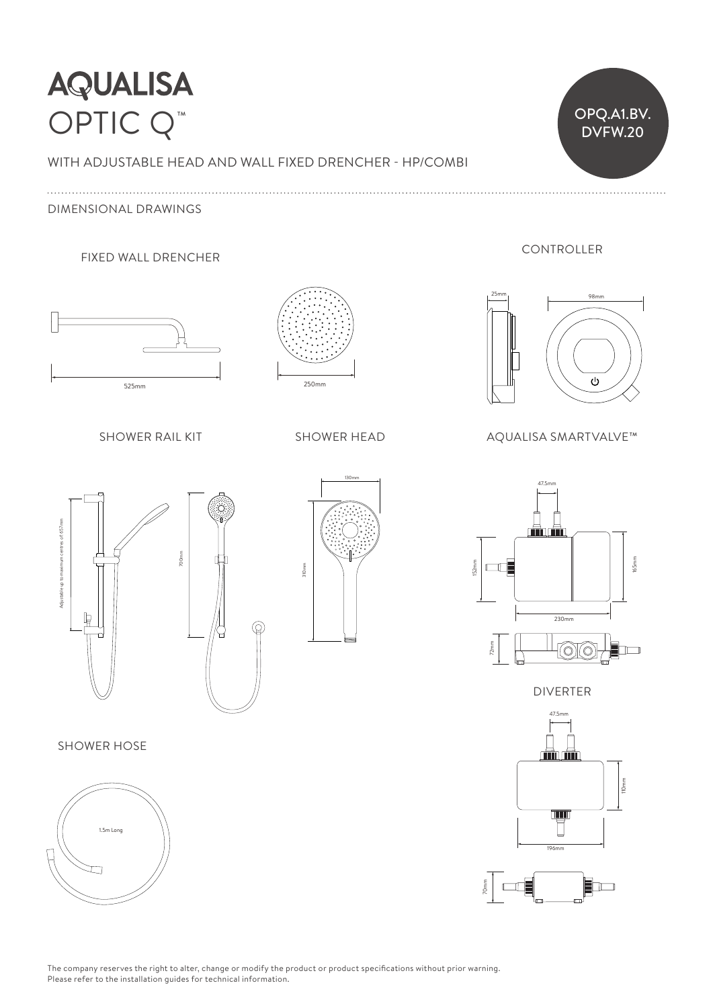## **AQUALISA** OPTIC Q<sup>™</sup> DVFW.20

# WITH ADJUSTABLE HEAD AND WALL FIXED DRENCHER - HP/COMBI  $\vee$

DIMENSIONAL DRAWINGS

#### FIXED WALL DRENCHER



SHOWER RAIL KIT
SHOWER HEAD





DVFW.20

OPQ.A1.BV.

#### AQUALISA SMARTVALVE™





#### SHOWER HOSE







DIVERTER





CONTROLLER

The company reserves the right to alter, change or modify the product or product specifications without prior warning. Please refer to the installation guides for technical information.

 $\circledcirc$